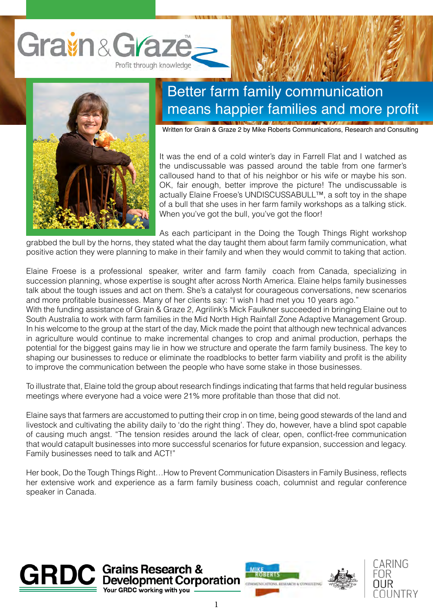



## Better farm family communication means happier families and more profit

Written for Grain & Graze 2 by Mike Roberts Communications, Research and Consulting

It was the end of a cold winter's day in Farrell Flat and I watched as the undiscussable was passed around the table from one farmer's calloused hand to that of his neighbor or his wife or maybe his son. OK, fair enough, better improve the picture! The undiscussable is actually Elaine Froese's UNDISCUSSABULL™, a soft toy in the shape of a bull that she uses in her farm family workshops as a talking stick. When you've got the bull, you've got the floor!

As each participant in the Doing the Tough Things Right workshop

grabbed the bull by the horns, they stated what the day taught them about farm family communication, what positive action they were planning to make in their family and when they would commit to taking that action.

Elaine Froese is a professional speaker, writer and farm family coach from Canada, specializing in succession planning, whose expertise is sought after across North America. Elaine helps family businesses talk about the tough issues and act on them. She's a catalyst for courageous conversations, new scenarios and more profitable businesses. Many of her clients say: "I wish I had met you 10 years ago."

With the funding assistance of Grain & Graze 2, Agrilink's Mick Faulkner succeeded in bringing Elaine out to South Australia to work with farm families in the Mid North High Rainfall Zone Adaptive Management Group. In his welcome to the group at the start of the day, Mick made the point that although new technical advances in agriculture would continue to make incremental changes to crop and animal production, perhaps the potential for the biggest gains may lie in how we structure and operate the farm family business. The key to shaping our businesses to reduce or eliminate the roadblocks to better farm viability and profit is the ability to improve the communication between the people who have some stake in those businesses.

To illustrate that, Elaine told the group about research findings indicating that farms that held regular business meetings where everyone had a voice were 21% more profitable than those that did not.

Elaine says that farmers are accustomed to putting their crop in on time, being good stewards of the land and livestock and cultivating the ability daily to 'do the right thing'. They do, however, have a blind spot capable of causing much angst. "The tension resides around the lack of clear, open, conflict-free communication that would catapult businesses into more successful scenarios for future expansion, succession and legacy. Family businesses need to talk and ACT!"

Her book, Do the Tough Things Right…How to Prevent Communication Disasters in Family Business, reflects her extensive work and experience as a farm family business coach, columnist and regular conference speaker in Canada.





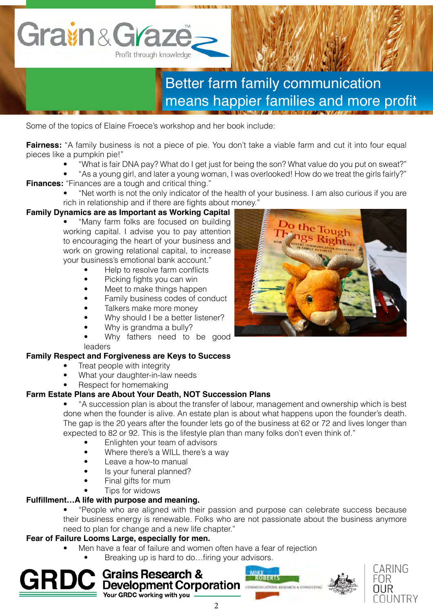

# Better farm family communication means happier families and more profit

Some of the topics of Elaine Froece's workshop and her book include:

**Fairness:** "A family business is not a piece of pie. You don't take a viable farm and cut it into four equal pieces like a pumpkin pie!"

- "What is fair DNA pay? What do I get just for being the son? What value do you put on sweat?"
- "As a young girl, and later a young woman, I was overlooked! How do we treat the girls fairly?" **Finances:** "Finances are a tough and critical thing."
	- "Net worth is not the only indicator of the health of your business. I am also curious if you are rich in relationship and if there are fights about money."

### **Family Dynamics are as Important as Working Capital**

- "Many farm folks are focused on building working capital. I advise you to pay attention to encouraging the heart of your business and work on growing relational capital, to increase your business's emotional bank account."
	- Help to resolve farm conflicts
	- Picking fights you can win
	- Meet to make things happen
	- Family business codes of conduct
	- Talkers make more money
	- Why should I be a better listener?
	- Why is grandma a bully?
	- Why fathers need to be good leaders

#### **Family Respect and Forgiveness are Keys to Success**

- Treat people with integrity
- What your daughter-in-law needs
- Respect for homemaking

#### **Farm Estate Plans are About Your Death, NOT Succession Plans**

- "A succession plan is about the transfer of labour, management and ownership which is best done when the founder is alive. An estate plan is about what happens upon the founder's death. The gap is the 20 years after the founder lets go of the business at 62 or 72 and lives longer than expected to 82 or 92. This is the lifestyle plan than many folks don't even think of."
	- Enlighten your team of advisors
	- Where there's a WILL there's a way
	- Leave a how-to manual
	- Is your funeral planned?
	- Final gifts for mum
	- Tips for widows

#### **Fulfillment…A life with purpose and meaning.**

• "People who are aligned with their passion and purpose can celebrate success because their business energy is renewable. Folks who are not passionate about the business anymore need to plan for change and a new life chapter."

#### **Fear of Failure Looms Large, especially for men.**

• Men have a fear of failure and women often have a fear of rejection

2

Breaking up is hard to do...firing your advisors.